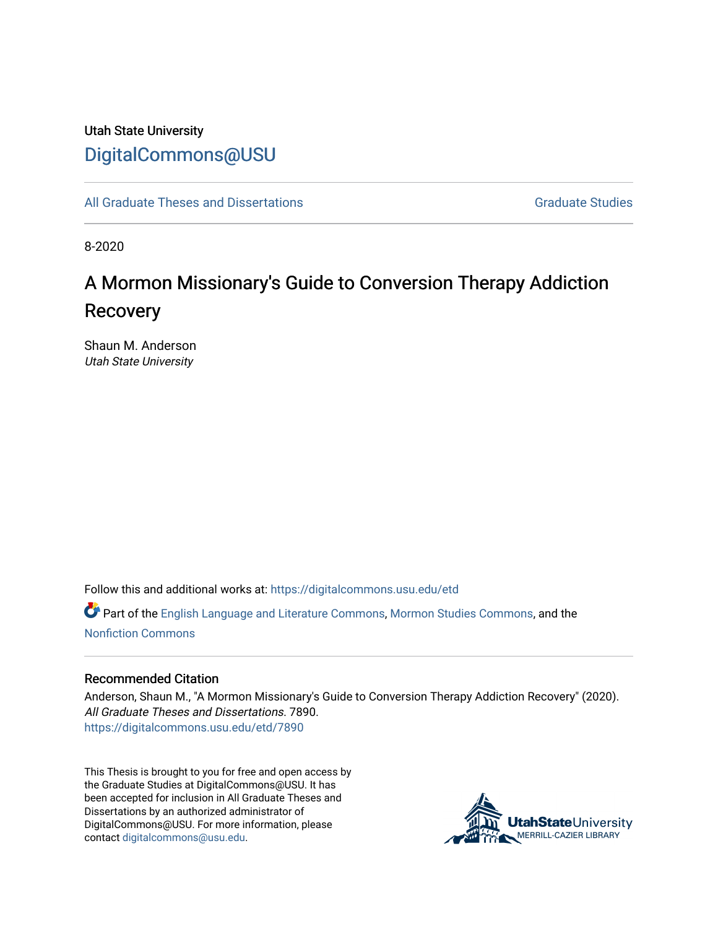# Utah State University [DigitalCommons@USU](https://digitalcommons.usu.edu/)

[All Graduate Theses and Dissertations](https://digitalcommons.usu.edu/etd) Contract Contract Contract Craduate Studies

8-2020

# A Mormon Missionary's Guide to Conversion Therapy Addiction **Recovery**

Shaun M. Anderson Utah State University

Follow this and additional works at: [https://digitalcommons.usu.edu/etd](https://digitalcommons.usu.edu/etd?utm_source=digitalcommons.usu.edu%2Fetd%2F7890&utm_medium=PDF&utm_campaign=PDFCoverPages) 

Part of the [English Language and Literature Commons](http://network.bepress.com/hgg/discipline/455?utm_source=digitalcommons.usu.edu%2Fetd%2F7890&utm_medium=PDF&utm_campaign=PDFCoverPages), [Mormon Studies Commons,](http://network.bepress.com/hgg/discipline/1360?utm_source=digitalcommons.usu.edu%2Fetd%2F7890&utm_medium=PDF&utm_campaign=PDFCoverPages) and the [Nonfiction Commons](http://network.bepress.com/hgg/discipline/1152?utm_source=digitalcommons.usu.edu%2Fetd%2F7890&utm_medium=PDF&utm_campaign=PDFCoverPages) 

#### Recommended Citation

Anderson, Shaun M., "A Mormon Missionary's Guide to Conversion Therapy Addiction Recovery" (2020). All Graduate Theses and Dissertations. 7890. [https://digitalcommons.usu.edu/etd/7890](https://digitalcommons.usu.edu/etd/7890?utm_source=digitalcommons.usu.edu%2Fetd%2F7890&utm_medium=PDF&utm_campaign=PDFCoverPages)

This Thesis is brought to you for free and open access by the Graduate Studies at DigitalCommons@USU. It has been accepted for inclusion in All Graduate Theses and Dissertations by an authorized administrator of DigitalCommons@USU. For more information, please contact [digitalcommons@usu.edu](mailto:digitalcommons@usu.edu).

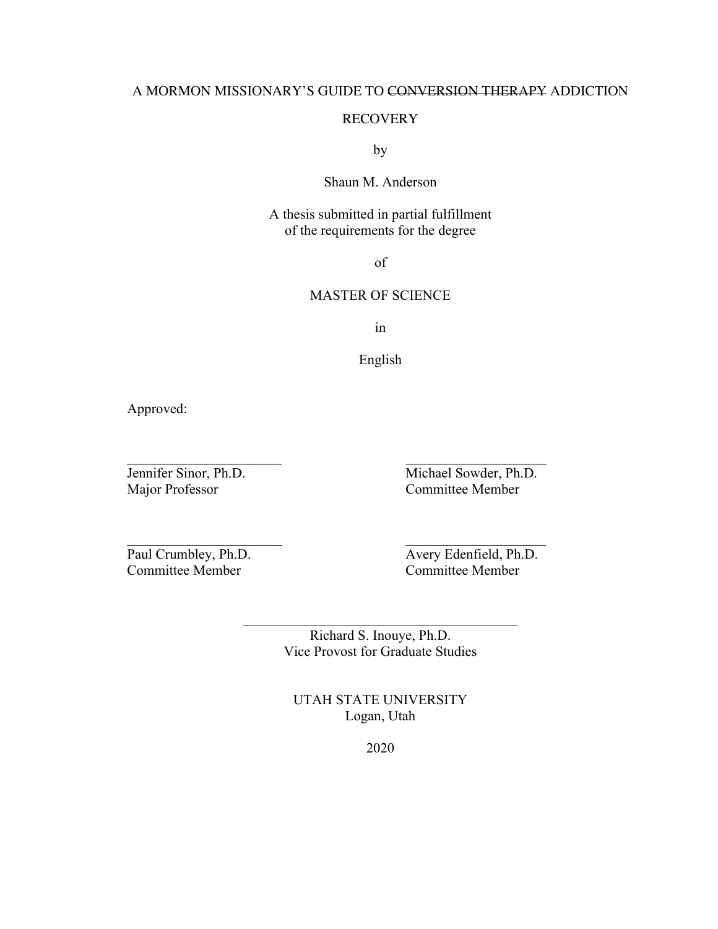### A MORMON MISSIONARY'S GUIDE TO CONVERSION THERAPY ADDICTION

### RECOVERY

by

## Shaun M. Anderson

A thesis submitted in partial fulfillment of the requirements for the degree

of

## MASTER OF SCIENCE

in

English

 $\mathcal{L}_\text{max}$  and the contract of the contract of the contract of the contract of the contract of the contract of the contract of the contract of the contract of the contract of the contract of the contract of the contrac

 $\mathcal{L}_\mathcal{L}$  , and the contribution of the contribution of  $\mathcal{L}_\mathcal{L}$ 

Approved:

Major Professor Committee Member

Jennifer Sinor, Ph.D. Michael Sowder, Ph.D.

Committee Member

Paul Crumbley, Ph.D.<br>
Committee Member<br>
Committee Member<br>
Committee Member

Richard S. Inouye, Ph.D. Vice Provost for Graduate Studies

 $\mathcal{L}_\text{max}$ 

UTAH STATE UNIVERSITY Logan, Utah

2020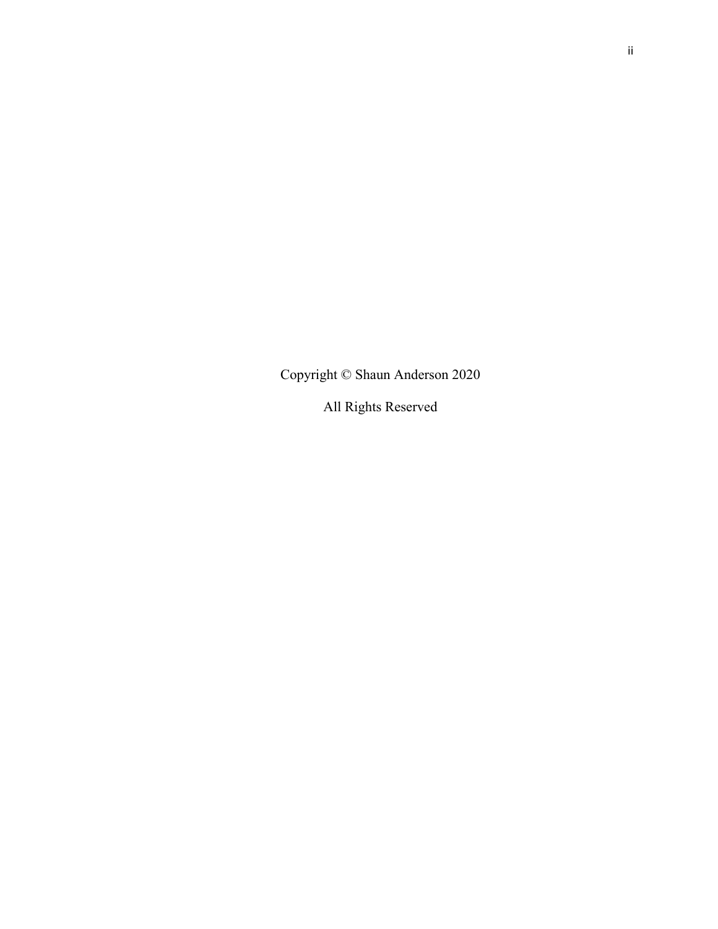Copyright © Shaun Anderson 2020

All Rights Reserved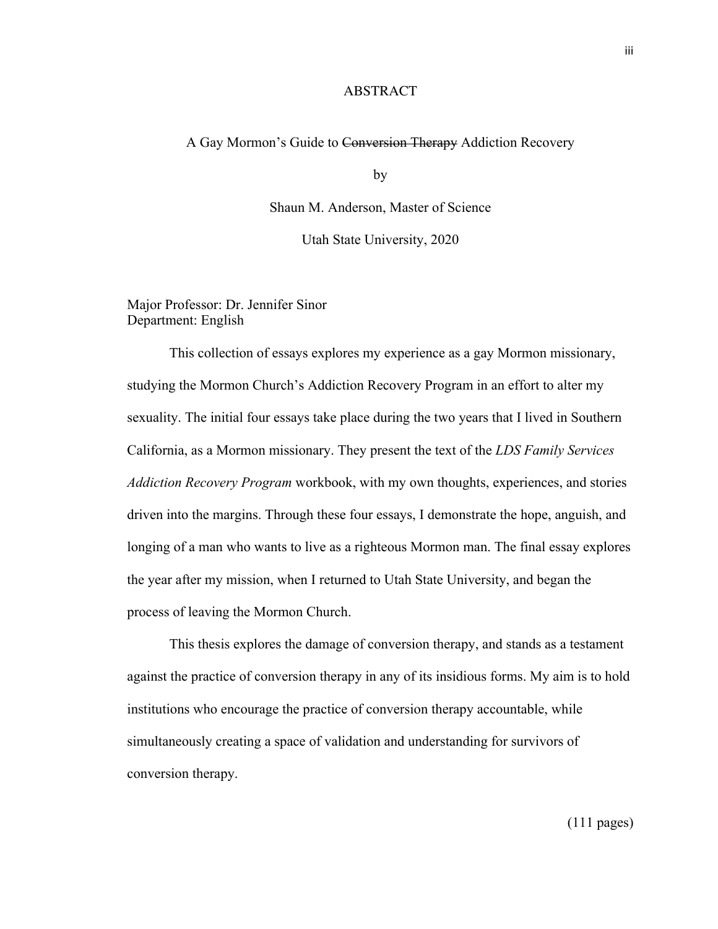#### **ABSTRACT**

#### A Gay Mormon's Guide to Conversion Therapy Addiction Recovery

by

Shaun M. Anderson, Master of Science

Utah State University, 2020

Major Professor: Dr. Jennifer Sinor Department: English

This collection of essays explores my experience as a gay Mormon missionary, studying the Mormon Church's Addiction Recovery Program in an effort to alter my sexuality. The initial four essays take place during the two years that I lived in Southern California, as a Mormon missionary. They present the text of the *LDS Family Services Addiction Recovery Program* workbook, with my own thoughts, experiences, and stories driven into the margins. Through these four essays, I demonstrate the hope, anguish, and longing of a man who wants to live as a righteous Mormon man. The final essay explores the year after my mission, when I returned to Utah State University, and began the process of leaving the Mormon Church.

This thesis explores the damage of conversion therapy, and stands as a testament against the practice of conversion therapy in any of its insidious forms. My aim is to hold institutions who encourage the practice of conversion therapy accountable, while simultaneously creating a space of validation and understanding for survivors of conversion therapy.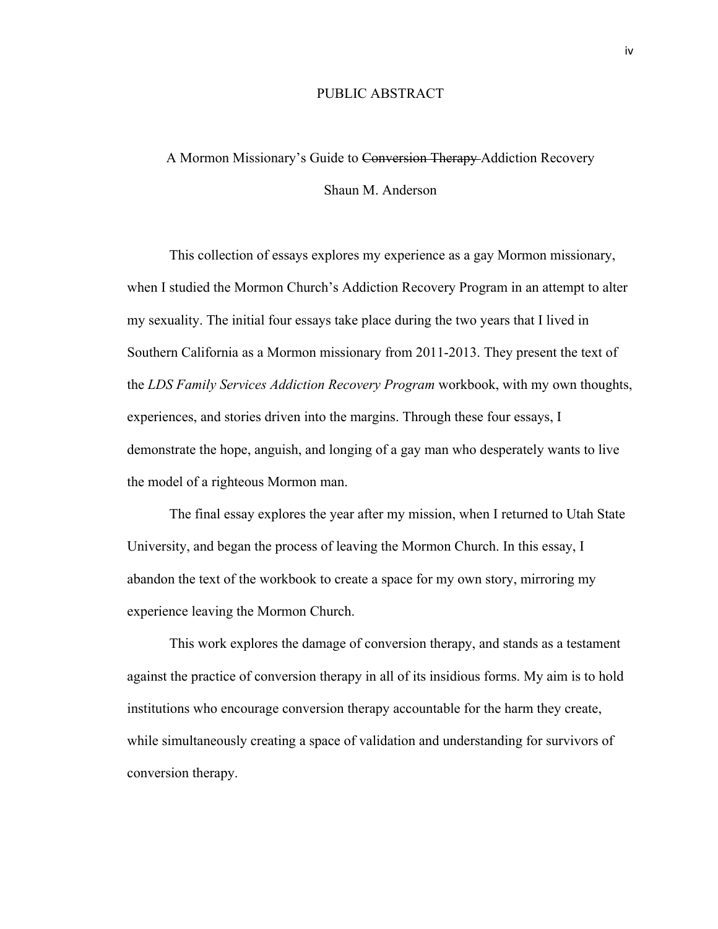#### PUBLIC ABSTRACT

# A Mormon Missionary's Guide to Conversion Therapy Addiction Recovery Shaun M. Anderson

This collection of essays explores my experience as a gay Mormon missionary, when I studied the Mormon Church's Addiction Recovery Program in an attempt to alter my sexuality. The initial four essays take place during the two years that I lived in Southern California as a Mormon missionary from 2011-2013. They present the text of the *LDS Family Services Addiction Recovery Program* workbook, with my own thoughts, experiences, and stories driven into the margins. Through these four essays, I demonstrate the hope, anguish, and longing of a gay man who desperately wants to live the model of a righteous Mormon man.

The final essay explores the year after my mission, when I returned to Utah State University, and began the process of leaving the Mormon Church. In this essay, I abandon the text of the workbook to create a space for my own story, mirroring my experience leaving the Mormon Church.

This work explores the damage of conversion therapy, and stands as a testament against the practice of conversion therapy in all of its insidious forms. My aim is to hold institutions who encourage conversion therapy accountable for the harm they create, while simultaneously creating a space of validation and understanding for survivors of conversion therapy.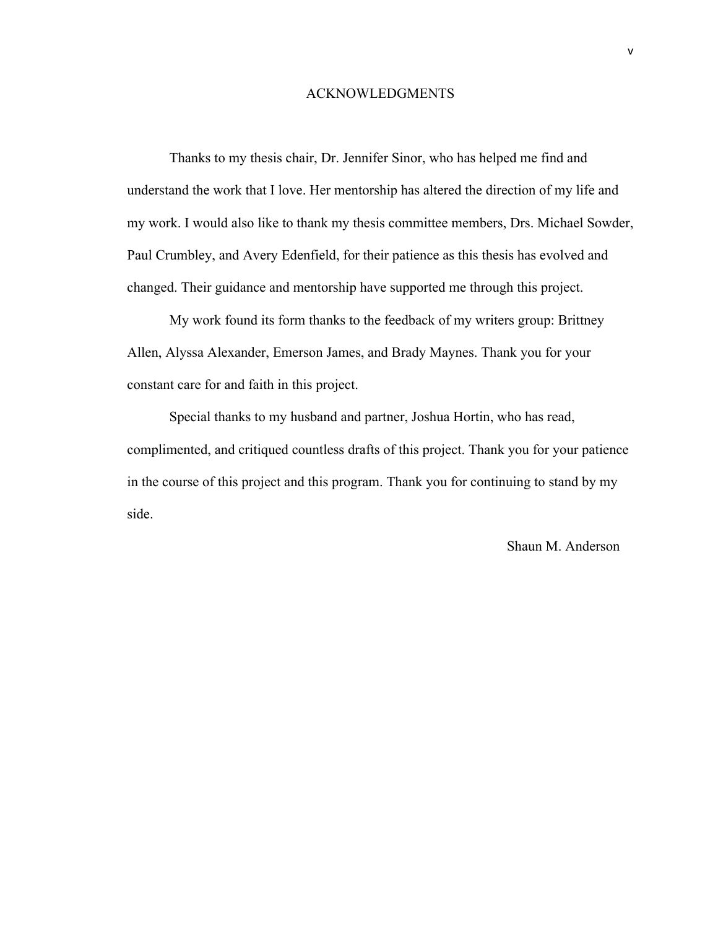#### ACKNOWLEDGMENTS

Thanks to my thesis chair, Dr. Jennifer Sinor, who has helped me find and understand the work that I love. Her mentorship has altered the direction of my life and my work. I would also like to thank my thesis committee members, Drs. Michael Sowder, Paul Crumbley, and Avery Edenfield, for their patience as this thesis has evolved and changed. Their guidance and mentorship have supported me through this project.

My work found its form thanks to the feedback of my writers group: Brittney Allen, Alyssa Alexander, Emerson James, and Brady Maynes. Thank you for your constant care for and faith in this project.

Special thanks to my husband and partner, Joshua Hortin, who has read, complimented, and critiqued countless drafts of this project. Thank you for your patience in the course of this project and this program. Thank you for continuing to stand by my side.

Shaun M. Anderson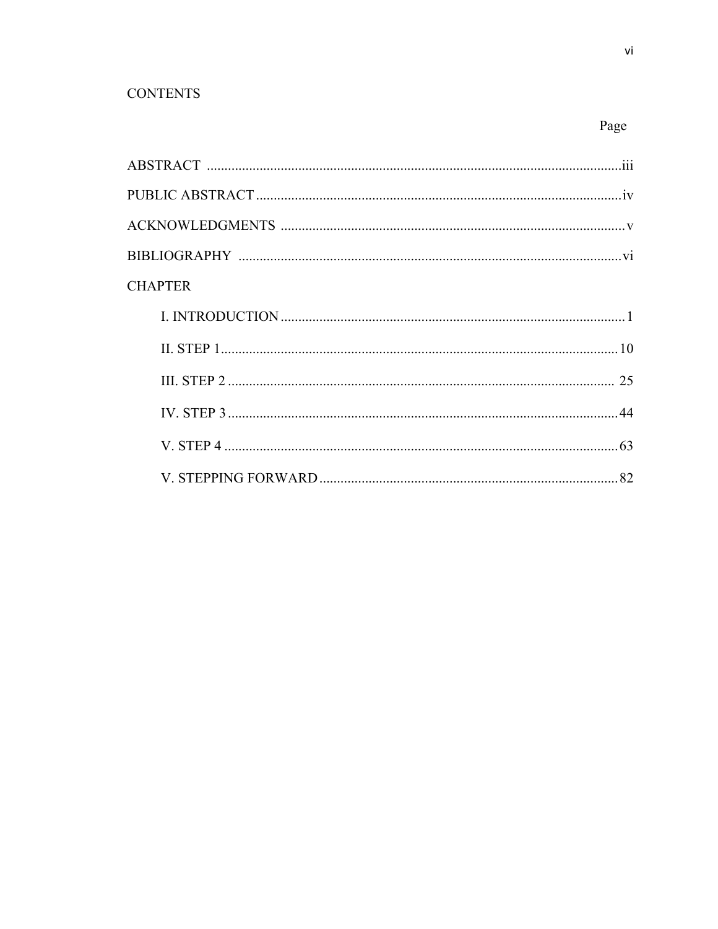# **CONTENTS**

| <b>CHAPTER</b> |  |
|----------------|--|
|                |  |
|                |  |
|                |  |
|                |  |
|                |  |
|                |  |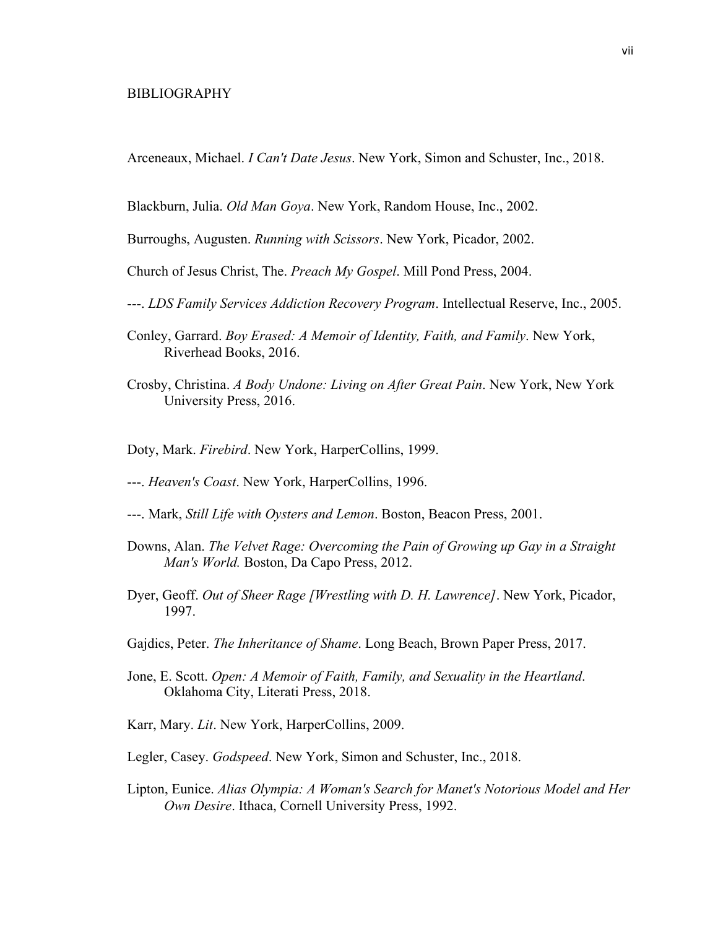#### BIBLIOGRAPHY

Arceneaux, Michael. *I Can't Date Jesus*. New York, Simon and Schuster, Inc., 2018.

Blackburn, Julia. *Old Man Goya*. New York, Random House, Inc., 2002.

Burroughs, Augusten. *Running with Scissors*. New York, Picador, 2002.

Church of Jesus Christ, The. *Preach My Gospel*. Mill Pond Press, 2004.

- ---. *LDS Family Services Addiction Recovery Program*. Intellectual Reserve, Inc., 2005.
- Conley, Garrard. *Boy Erased: A Memoir of Identity, Faith, and Family*. New York, Riverhead Books, 2016.
- Crosby, Christina. *A Body Undone: Living on After Great Pain*. New York, New York University Press, 2016.
- Doty, Mark. *Firebird*. New York, HarperCollins, 1999.
- ---. *Heaven's Coast*. New York, HarperCollins, 1996.
- ---. Mark, *Still Life with Oysters and Lemon*. Boston, Beacon Press, 2001.
- Downs, Alan. *The Velvet Rage: Overcoming the Pain of Growing up Gay in a Straight Man's World.* Boston, Da Capo Press, 2012.
- Dyer, Geoff. *Out of Sheer Rage [Wrestling with D. H. Lawrence]*. New York, Picador, 1997.
- Gajdics, Peter. *The Inheritance of Shame*. Long Beach, Brown Paper Press, 2017.
- Jone, E. Scott. *Open: A Memoir of Faith, Family, and Sexuality in the Heartland*. Oklahoma City, Literati Press, 2018.
- Karr, Mary. *Lit*. New York, HarperCollins, 2009.
- Legler, Casey. *Godspeed*. New York, Simon and Schuster, Inc., 2018.
- Lipton, Eunice. *Alias Olympia: A Woman's Search for Manet's Notorious Model and Her Own Desire*. Ithaca, Cornell University Press, 1992.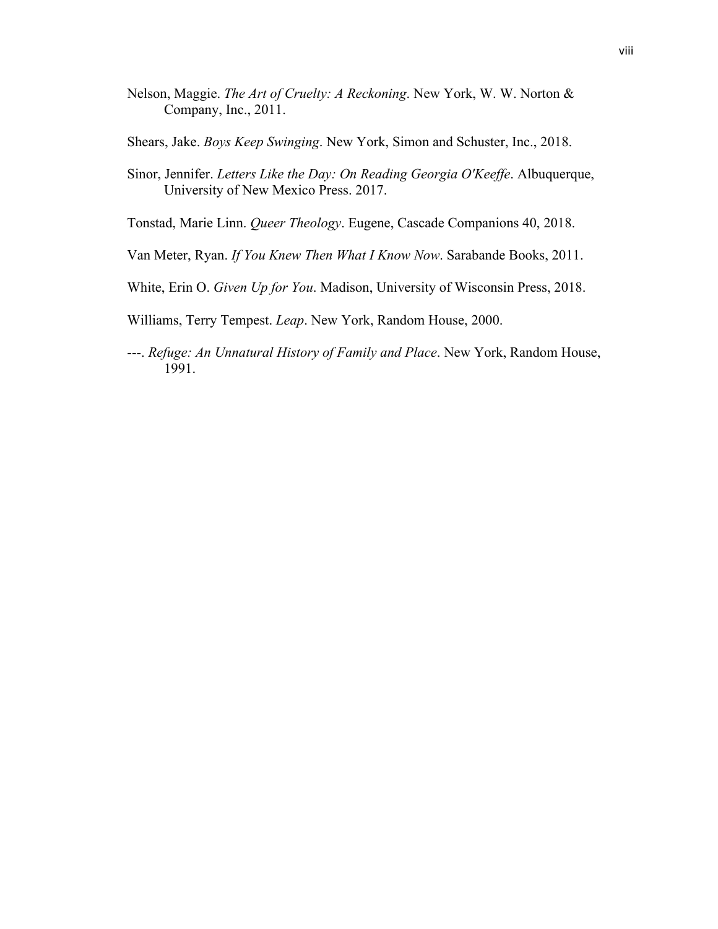- Nelson, Maggie. *The Art of Cruelty: A Reckoning*. New York, W. W. Norton & Company, Inc., 2011.
- Shears, Jake. *Boys Keep Swinging*. New York, Simon and Schuster, Inc., 2018.
- Sinor, Jennifer. *Letters Like the Day: On Reading Georgia O'Keeffe*. Albuquerque, University of New Mexico Press. 2017.
- Tonstad, Marie Linn. *Queer Theology*. Eugene, Cascade Companions 40, 2018.
- Van Meter, Ryan. *If You Knew Then What I Know Now*. Sarabande Books, 2011.
- White, Erin O. *Given Up for You*. Madison, University of Wisconsin Press, 2018.
- Williams, Terry Tempest. *Leap*. New York, Random House, 2000.
- ---. *Refuge: An Unnatural History of Family and Place*. New York, Random House, 1991.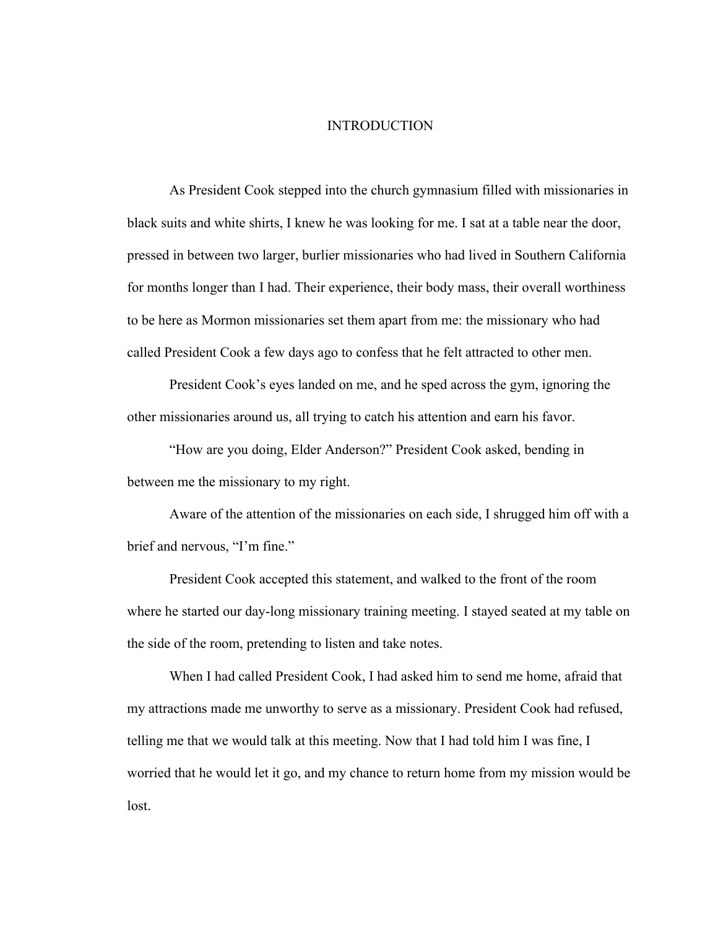#### INTRODUCTION

As President Cook stepped into the church gymnasium filled with missionaries in black suits and white shirts, I knew he was looking for me. I sat at a table near the door, pressed in between two larger, burlier missionaries who had lived in Southern California for months longer than I had. Their experience, their body mass, their overall worthiness to be here as Mormon missionaries set them apart from me: the missionary who had called President Cook a few days ago to confess that he felt attracted to other men.

President Cook's eyes landed on me, and he sped across the gym, ignoring the other missionaries around us, all trying to catch his attention and earn his favor.

"How are you doing, Elder Anderson?" President Cook asked, bending in between me the missionary to my right.

Aware of the attention of the missionaries on each side, I shrugged him off with a brief and nervous, "I'm fine."

President Cook accepted this statement, and walked to the front of the room where he started our day-long missionary training meeting. I stayed seated at my table on the side of the room, pretending to listen and take notes.

When I had called President Cook, I had asked him to send me home, afraid that my attractions made me unworthy to serve as a missionary. President Cook had refused, telling me that we would talk at this meeting. Now that I had told him I was fine, I worried that he would let it go, and my chance to return home from my mission would be lost.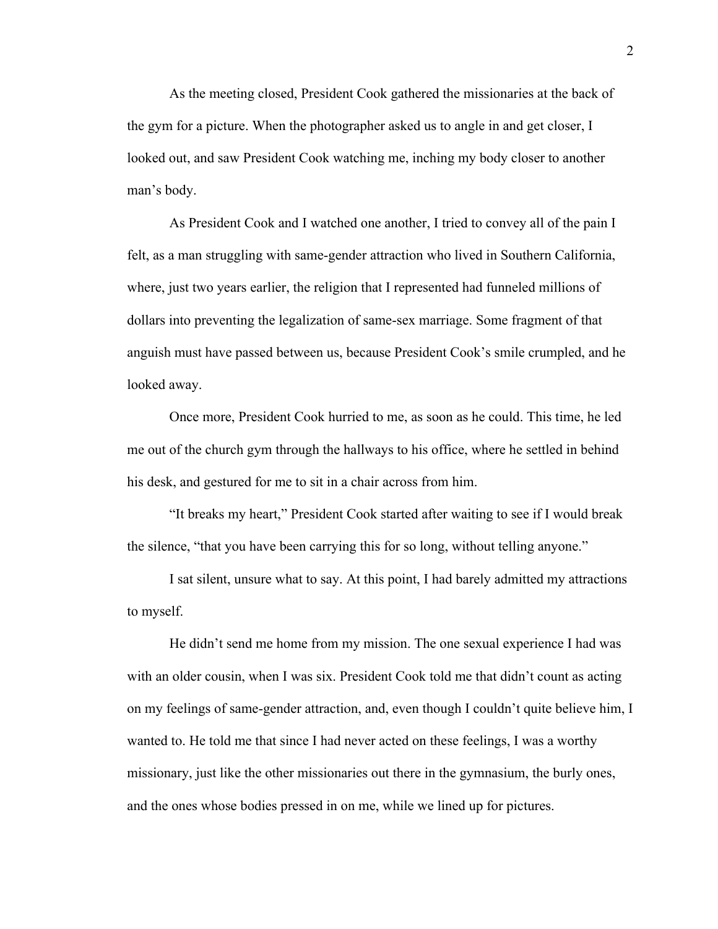As the meeting closed, President Cook gathered the missionaries at the back of the gym for a picture. When the photographer asked us to angle in and get closer, I looked out, and saw President Cook watching me, inching my body closer to another man's body.

As President Cook and I watched one another, I tried to convey all of the pain I felt, as a man struggling with same-gender attraction who lived in Southern California, where, just two years earlier, the religion that I represented had funneled millions of dollars into preventing the legalization of same-sex marriage. Some fragment of that anguish must have passed between us, because President Cook's smile crumpled, and he looked away.

Once more, President Cook hurried to me, as soon as he could. This time, he led me out of the church gym through the hallways to his office, where he settled in behind his desk, and gestured for me to sit in a chair across from him.

"It breaks my heart," President Cook started after waiting to see if I would break the silence, "that you have been carrying this for so long, without telling anyone."

I sat silent, unsure what to say. At this point, I had barely admitted my attractions to myself.

He didn't send me home from my mission. The one sexual experience I had was with an older cousin, when I was six. President Cook told me that didn't count as acting on my feelings of same-gender attraction, and, even though I couldn't quite believe him, I wanted to. He told me that since I had never acted on these feelings, I was a worthy missionary, just like the other missionaries out there in the gymnasium, the burly ones, and the ones whose bodies pressed in on me, while we lined up for pictures.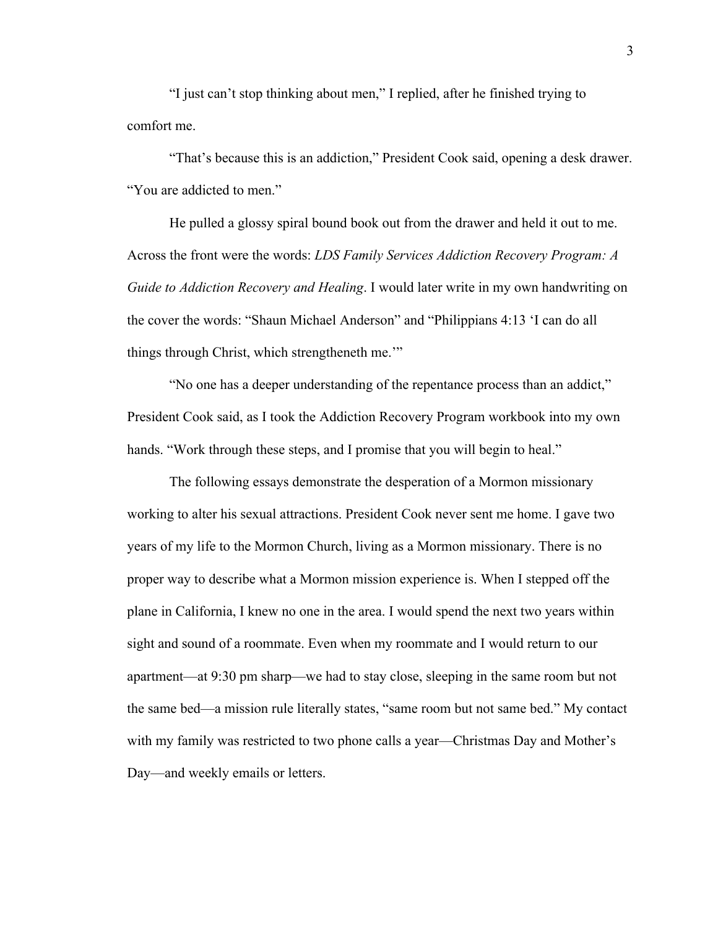"I just can't stop thinking about men," I replied, after he finished trying to comfort me.

"That's because this is an addiction," President Cook said, opening a desk drawer. "You are addicted to men."

He pulled a glossy spiral bound book out from the drawer and held it out to me. Across the front were the words: *LDS Family Services Addiction Recovery Program: A Guide to Addiction Recovery and Healing*. I would later write in my own handwriting on the cover the words: "Shaun Michael Anderson" and "Philippians 4:13 'I can do all things through Christ, which strengtheneth me.'"

"No one has a deeper understanding of the repentance process than an addict," President Cook said, as I took the Addiction Recovery Program workbook into my own hands. "Work through these steps, and I promise that you will begin to heal."

The following essays demonstrate the desperation of a Mormon missionary working to alter his sexual attractions. President Cook never sent me home. I gave two years of my life to the Mormon Church, living as a Mormon missionary. There is no proper way to describe what a Mormon mission experience is. When I stepped off the plane in California, I knew no one in the area. I would spend the next two years within sight and sound of a roommate. Even when my roommate and I would return to our apartment—at 9:30 pm sharp—we had to stay close, sleeping in the same room but not the same bed—a mission rule literally states, "same room but not same bed." My contact with my family was restricted to two phone calls a year—Christmas Day and Mother's Day—and weekly emails or letters.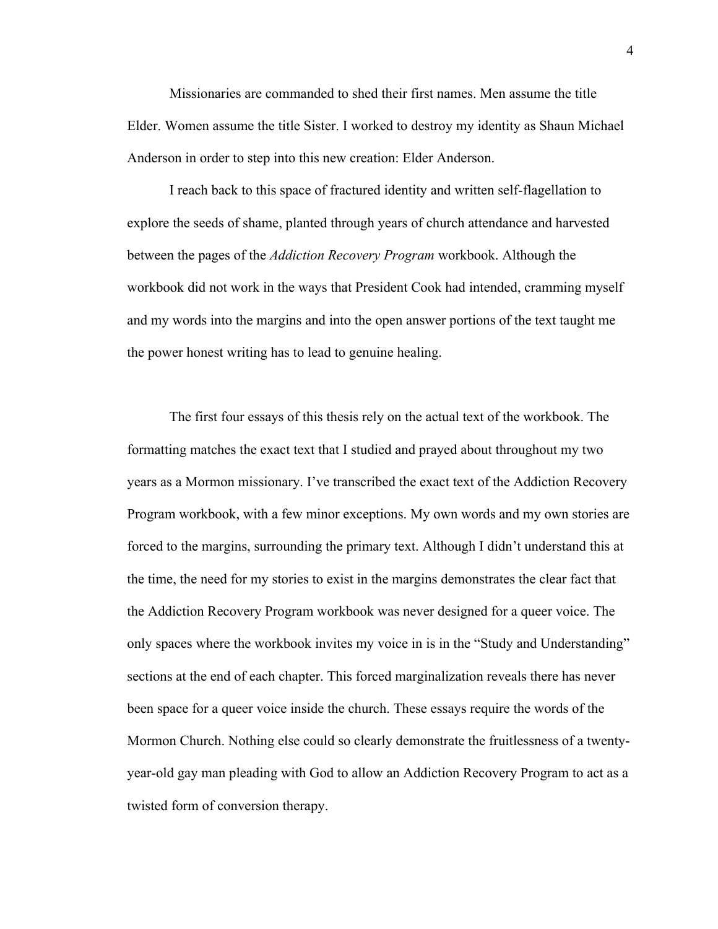Missionaries are commanded to shed their first names. Men assume the title Elder. Women assume the title Sister. I worked to destroy my identity as Shaun Michael Anderson in order to step into this new creation: Elder Anderson.

I reach back to this space of fractured identity and written self-flagellation to explore the seeds of shame, planted through years of church attendance and harvested between the pages of the *Addiction Recovery Program* workbook. Although the workbook did not work in the ways that President Cook had intended, cramming myself and my words into the margins and into the open answer portions of the text taught me the power honest writing has to lead to genuine healing.

The first four essays of this thesis rely on the actual text of the workbook. The formatting matches the exact text that I studied and prayed about throughout my two years as a Mormon missionary. I've transcribed the exact text of the Addiction Recovery Program workbook, with a few minor exceptions. My own words and my own stories are forced to the margins, surrounding the primary text. Although I didn't understand this at the time, the need for my stories to exist in the margins demonstrates the clear fact that the Addiction Recovery Program workbook was never designed for a queer voice. The only spaces where the workbook invites my voice in is in the "Study and Understanding" sections at the end of each chapter. This forced marginalization reveals there has never been space for a queer voice inside the church. These essays require the words of the Mormon Church. Nothing else could so clearly demonstrate the fruitlessness of a twentyyear-old gay man pleading with God to allow an Addiction Recovery Program to act as a twisted form of conversion therapy.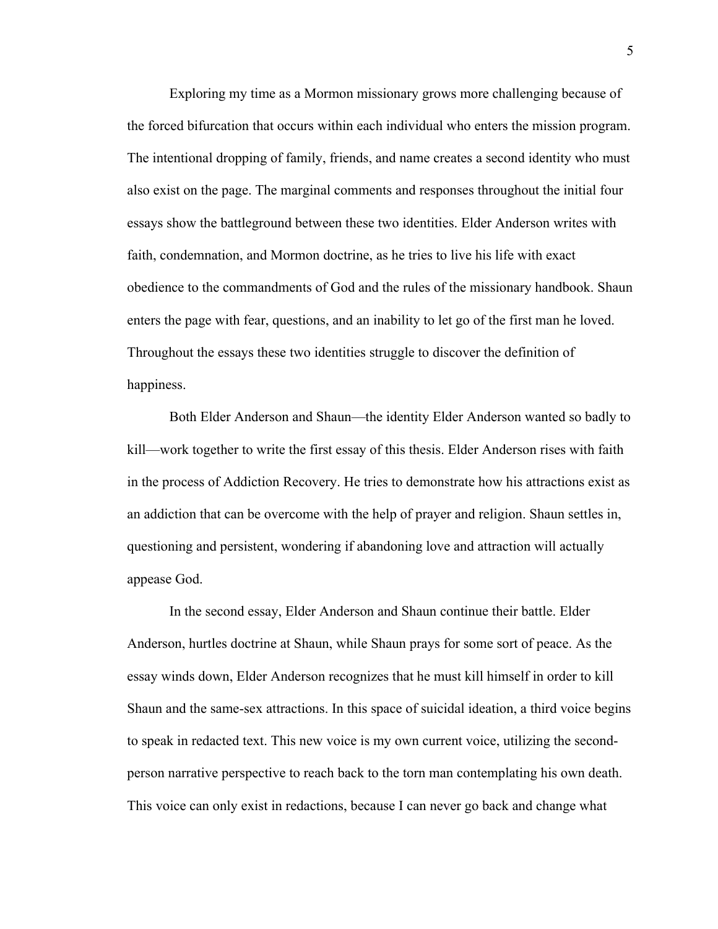Exploring my time as a Mormon missionary grows more challenging because of the forced bifurcation that occurs within each individual who enters the mission program. The intentional dropping of family, friends, and name creates a second identity who must also exist on the page. The marginal comments and responses throughout the initial four essays show the battleground between these two identities. Elder Anderson writes with faith, condemnation, and Mormon doctrine, as he tries to live his life with exact obedience to the commandments of God and the rules of the missionary handbook. Shaun enters the page with fear, questions, and an inability to let go of the first man he loved. Throughout the essays these two identities struggle to discover the definition of happiness.

Both Elder Anderson and Shaun—the identity Elder Anderson wanted so badly to kill—work together to write the first essay of this thesis. Elder Anderson rises with faith in the process of Addiction Recovery. He tries to demonstrate how his attractions exist as an addiction that can be overcome with the help of prayer and religion. Shaun settles in, questioning and persistent, wondering if abandoning love and attraction will actually appease God.

In the second essay, Elder Anderson and Shaun continue their battle. Elder Anderson, hurtles doctrine at Shaun, while Shaun prays for some sort of peace. As the essay winds down, Elder Anderson recognizes that he must kill himself in order to kill Shaun and the same-sex attractions. In this space of suicidal ideation, a third voice begins to speak in redacted text. This new voice is my own current voice, utilizing the secondperson narrative perspective to reach back to the torn man contemplating his own death. This voice can only exist in redactions, because I can never go back and change what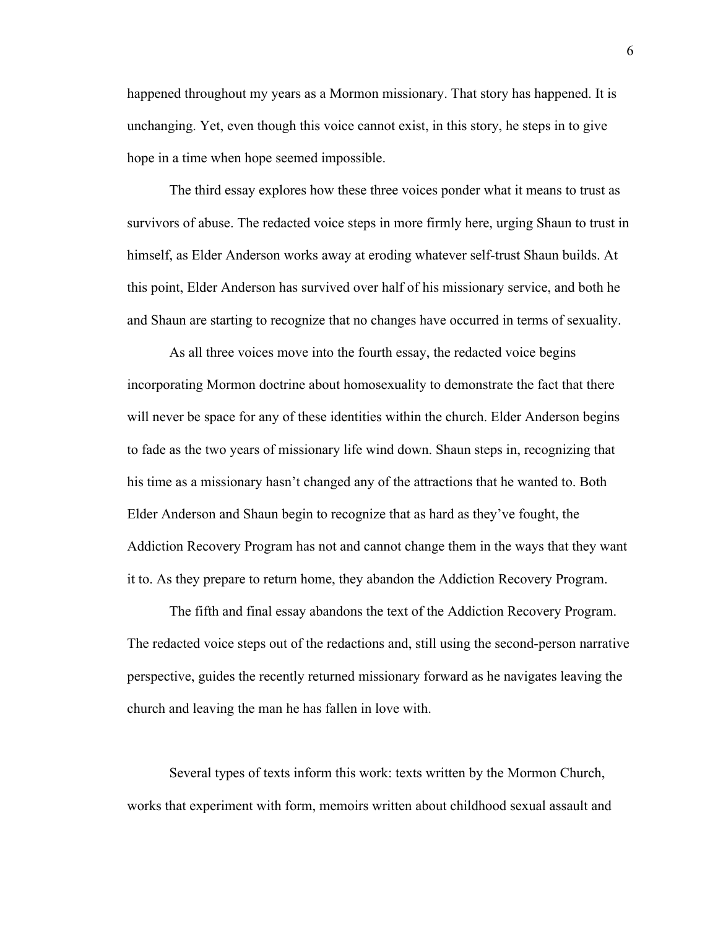happened throughout my years as a Mormon missionary. That story has happened. It is unchanging. Yet, even though this voice cannot exist, in this story, he steps in to give hope in a time when hope seemed impossible.

The third essay explores how these three voices ponder what it means to trust as survivors of abuse. The redacted voice steps in more firmly here, urging Shaun to trust in himself, as Elder Anderson works away at eroding whatever self-trust Shaun builds. At this point, Elder Anderson has survived over half of his missionary service, and both he and Shaun are starting to recognize that no changes have occurred in terms of sexuality.

As all three voices move into the fourth essay, the redacted voice begins incorporating Mormon doctrine about homosexuality to demonstrate the fact that there will never be space for any of these identities within the church. Elder Anderson begins to fade as the two years of missionary life wind down. Shaun steps in, recognizing that his time as a missionary hasn't changed any of the attractions that he wanted to. Both Elder Anderson and Shaun begin to recognize that as hard as they've fought, the Addiction Recovery Program has not and cannot change them in the ways that they want it to. As they prepare to return home, they abandon the Addiction Recovery Program.

The fifth and final essay abandons the text of the Addiction Recovery Program. The redacted voice steps out of the redactions and, still using the second-person narrative perspective, guides the recently returned missionary forward as he navigates leaving the church and leaving the man he has fallen in love with.

Several types of texts inform this work: texts written by the Mormon Church, works that experiment with form, memoirs written about childhood sexual assault and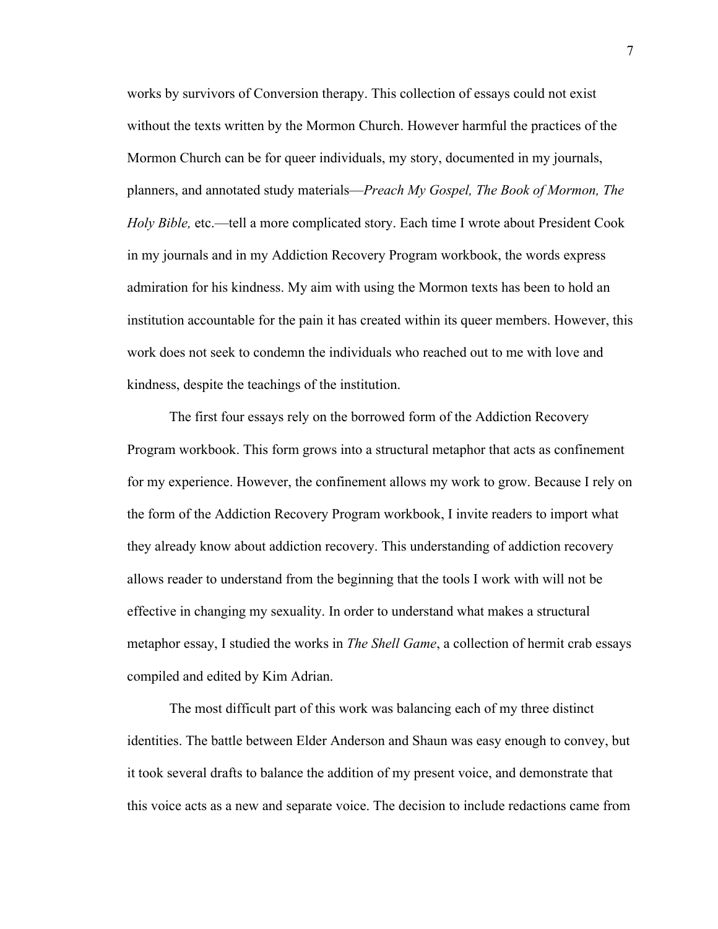works by survivors of Conversion therapy. This collection of essays could not exist without the texts written by the Mormon Church. However harmful the practices of the Mormon Church can be for queer individuals, my story, documented in my journals, planners, and annotated study materials—*Preach My Gospel, The Book of Mormon, The Holy Bible,* etc.—tell a more complicated story. Each time I wrote about President Cook in my journals and in my Addiction Recovery Program workbook, the words express admiration for his kindness. My aim with using the Mormon texts has been to hold an institution accountable for the pain it has created within its queer members. However, this work does not seek to condemn the individuals who reached out to me with love and kindness, despite the teachings of the institution.

The first four essays rely on the borrowed form of the Addiction Recovery Program workbook. This form grows into a structural metaphor that acts as confinement for my experience. However, the confinement allows my work to grow. Because I rely on the form of the Addiction Recovery Program workbook, I invite readers to import what they already know about addiction recovery. This understanding of addiction recovery allows reader to understand from the beginning that the tools I work with will not be effective in changing my sexuality. In order to understand what makes a structural metaphor essay, I studied the works in *The Shell Game*, a collection of hermit crab essays compiled and edited by Kim Adrian.

The most difficult part of this work was balancing each of my three distinct identities. The battle between Elder Anderson and Shaun was easy enough to convey, but it took several drafts to balance the addition of my present voice, and demonstrate that this voice acts as a new and separate voice. The decision to include redactions came from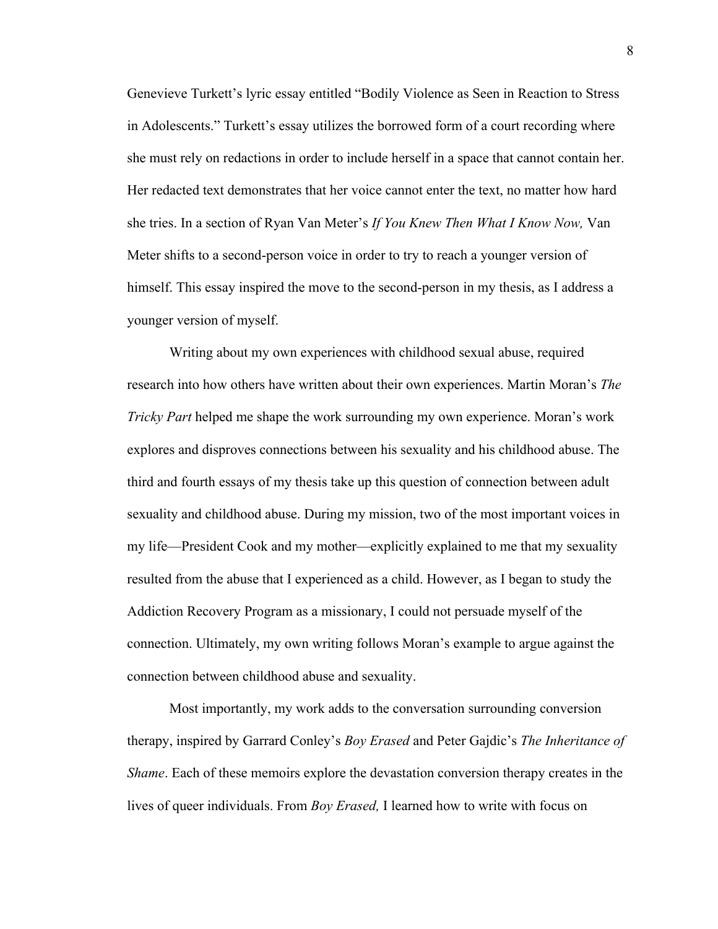Genevieve Turkett's lyric essay entitled "Bodily Violence as Seen in Reaction to Stress in Adolescents." Turkett's essay utilizes the borrowed form of a court recording where she must rely on redactions in order to include herself in a space that cannot contain her. Her redacted text demonstrates that her voice cannot enter the text, no matter how hard she tries. In a section of Ryan Van Meter's *If You Knew Then What I Know Now,* Van Meter shifts to a second-person voice in order to try to reach a younger version of himself. This essay inspired the move to the second-person in my thesis, as I address a younger version of myself.

Writing about my own experiences with childhood sexual abuse, required research into how others have written about their own experiences. Martin Moran's *The Tricky Part* helped me shape the work surrounding my own experience. Moran's work explores and disproves connections between his sexuality and his childhood abuse. The third and fourth essays of my thesis take up this question of connection between adult sexuality and childhood abuse. During my mission, two of the most important voices in my life—President Cook and my mother—explicitly explained to me that my sexuality resulted from the abuse that I experienced as a child. However, as I began to study the Addiction Recovery Program as a missionary, I could not persuade myself of the connection. Ultimately, my own writing follows Moran's example to argue against the connection between childhood abuse and sexuality.

Most importantly, my work adds to the conversation surrounding conversion therapy, inspired by Garrard Conley's *Boy Erased* and Peter Gajdic's *The Inheritance of Shame*. Each of these memoirs explore the devastation conversion therapy creates in the lives of queer individuals. From *Boy Erased,* I learned how to write with focus on